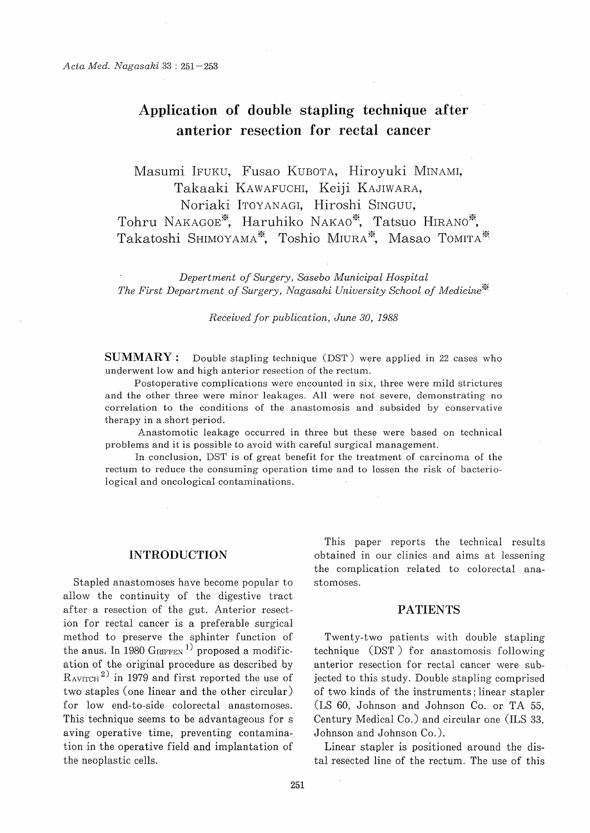# Application of double stapling technique after anterior resection for rectal cancer

 Masumi IFUKU, Fusao KUBOTA, Hiroyuki MINAMI, Takaaki KAWAFUCHI, Keiji KAJIWARA, Noriaki ITOYANAGI, Hiroshi SINGUU,

Tohru NAKAGOE\*, Haruhiko NAKAO\*, Tatsuo HIRANO\*, Takatoshi SHIMOYAMA\*, Toshio MIURA\*, Masao TOMITA\*

 Depertment of Surgery, Sasebo Municipal Hospital The First Department of Surgery, Nagasaki University School of Medicine<sup>\*\*</sup>

Received for publication, June 30, 1988

**SUMMARY** : Double stapling technique (DST) were applied in 22 cases who underwent low and high anterior resection of the rectum.

Postoperative complications were encounted in six, three were mild strictures and the other three were minor leakages. All were not severe, demonstrating no correlation to the conditions of the anastomosis and subsided by conservative therapy in a short period.

Anastomotic leakage occurred in three but these were based on technical problems and it is possible to avoid with careful surgical management.

In conclusion, DST is of great benefit for the treatment of carcinoma of the rectum to reduce the consuming operation time and to lessen the risk of bacteriological and oncological contaminations.

### INTRODUCTION

Stapled anastomoses have become popular to allow the continuity of the digestive tract after a resection of the gut. Anterior resection for rectal cancer is a preferable surgical method to preserve the sphinter function of the anus. In 1980 GRIFFEN<sup>1)</sup> proposed a modification of the original procedure as described by  $R_{\text{AVITCH}}^{2}$  in 1979 and first reported the use of two staples (one linear and the other circular) for low end-to-side colorectal anastomoses. This technique seems to be advantageous for s aving operative time, preventing contamination in the operative field and implantation of the neoplastic cells.

This paper reports the technical results obtained in our clinics and aims at lessening the complication related to colorectal anastomoses.

## PATIENTS

Twenty-two patients with double stapling technique (DST ) for anastomosis following anterior resection for rectal cancer were subjected to this study. Double stapling comprised of two kinds of the instruments; linear stapler (LS 60, Johnson and Johnson Co. or TA 55, Century Medical Co.) and circular one (ILS 33, Johnson and Johnson Co. ).

Linear stapler is positioned around the distal resected line of the rectum. The use of this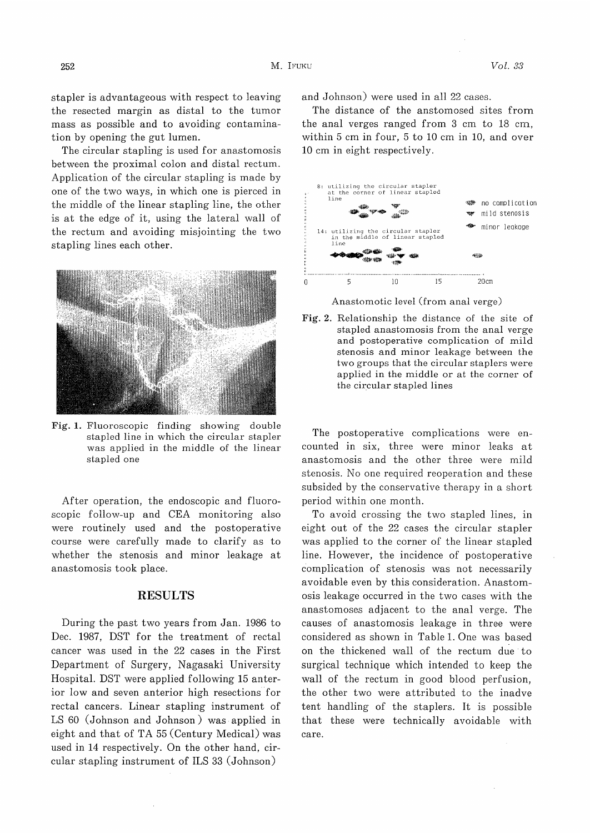stapler is advantageous with respect to leaving the resected margin as distal to the tumor mass as possible and to avoiding contamination by opening the gut lumen.

The circular stapling is used for anastomosis between the proximal colon and distal rectum. Application of the circular stapling is made by one of the two ways, in which one is pierced in the middle of the linear stapling line, the other is at the edge of it, using the lateral wall of the rectum and avoiding misjointing the two stapling lines each other.



Fig. 1. Fluoroscopic finding showing double stapled line in which the circular stapler was applied in the middle of the linear stapled one

After operation, the endoscopic and fluoroscopic follow-up and CEA monitoring also were routinely used and the postoperative course were carefully made to clarify as to whether the stenosis and minor leakage at anastomosis took place.

#### RESULTS

During the past two years from Jan. 1986 to Dec. 1987, DST for the treatment of rectal cancer was used in the 22 cases in the First Department of Surgery, Nagasaki University Hospital. DST were applied following 15 anterior low and seven anterior high resections for rectal cancers. Linear stapling instrument of LS 60 (Johnson and Johnson) was applied in eight and that of TA 55 (Century Medical) was used in 14 respectively. On the other hand, circular stapling instrument of ILS 33 (Johnson)

and Johnson) were used in all 22 cases.

The distance of the anstomosed sites from the anal verges ranged from 3 cm to 18 cm, within 5 cm in four, 5 to 10 cm in 10, and over 10 cm in eight respectively.



Anastomotic level (from anal verge)

Fig. 2. Relationship the distance of the site of stapled anastomosis from the anal verge and postoperative complication of mild stenosis and minor leakage between the two groups that the circular staplers were applied in the middle or at the corner of the circular stapled lines

 The postoperative complications were encounted in six, three were minor leaks at anastomosis and the other three were mild stenosis. No one required reoperation and these subsided by the conservative therapy in a short period within one month.

To avoid crossing the two stapled lines, in eight out of the 22 cases the circular stapler was applied to the corner of the linear stapled line. However, the incidence of postoperative complication of stenosis was not necessarily avoidable even by this consideration. Anastomosis leakage occurred in the two cases with the anastomoses adjacent to the anal verge. The causes of anastomosis leakage in three were considered as shown in Table 1. One was based on the thickened wall of the rectum due to surgical technique which intended to keep the wall of the rectum in good blood perfusion, the other two were attributed to the inadve tent handling of the staplers. It is possible that these were technically avoidable with care.